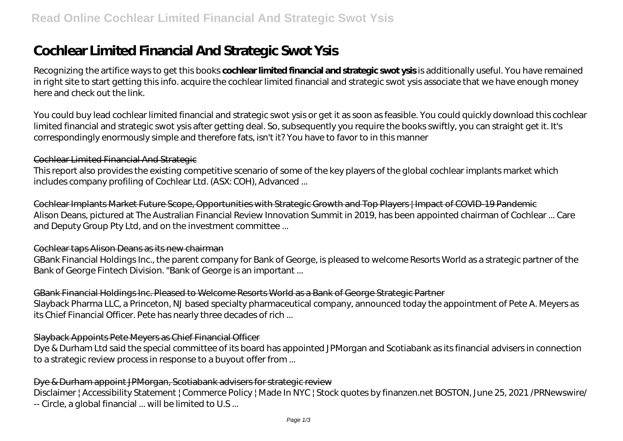# **Cochlear Limited Financial And Strategic Swot Ysis**

Recognizing the artifice ways to get this books **cochlear limited financial and strategic swot ysis** is additionally useful. You have remained in right site to start getting this info. acquire the cochlear limited financial and strategic swot ysis associate that we have enough money here and check out the link.

You could buy lead cochlear limited financial and strategic swot ysis or get it as soon as feasible. You could quickly download this cochlear limited financial and strategic swot ysis after getting deal. So, subsequently you require the books swiftly, you can straight get it. It's correspondingly enormously simple and therefore fats, isn't it? You have to favor to in this manner

## Cochlear Limited Financial And Strategic

This report also provides the existing competitive scenario of some of the key players of the global cochlear implants market which includes company profiling of Cochlear Ltd. (ASX: COH), Advanced ...

Cochlear Implants Market Future Scope, Opportunities with Strategic Growth and Top Players | Impact of COVID-19 Pandemic Alison Deans, pictured at The Australian Financial Review Innovation Summit in 2019, has been appointed chairman of Cochlear ... Care and Deputy Group Pty Ltd, and on the investment committee ...

## Cochlear taps Alison Deans as its new chairman

GBank Financial Holdings Inc., the parent company for Bank of George, is pleased to welcome Resorts World as a strategic partner of the Bank of George Fintech Division. "Bank of George is an important ...

# GBank Financial Holdings Inc. Pleased to Welcome Resorts World as a Bank of George Strategic Partner

Slayback Pharma LLC, a Princeton, NJ based specialty pharmaceutical company, announced today the appointment of Pete A. Meyers as its Chief Financial Officer. Pete has nearly three decades of rich ...

# Slayback Appoints Pete Meyers as Chief Financial Officer

Dye & Durham Ltd said the special committee of its board has appointed JPMorgan and Scotiabank as its financial advisers in connection to a strategic review process in response to a buyout offer from ...

# Dye & Durham appoint JPMorgan, Scotiabank advisers for strategic review

Disclaimer | Accessibility Statement | Commerce Policy | Made In NYC | Stock quotes by finanzen.net BOSTON, June 25, 2021 / PRNewswire/ -- Circle, a global financial ... will be limited to U.S ...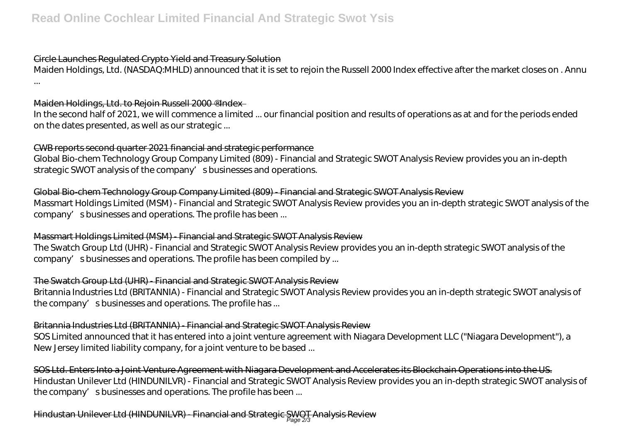## Circle Launches Regulated Crypto Yield and Treasury Solution

Maiden Holdings, Ltd. (NASDAQ:MHLD) announced that it is set to rejoin the Russell 2000 Index effective after the market closes on . Annu ...

#### Maiden Holdings, Ltd. to Rejoin Russell 2000 ®Index-

In the second half of 2021, we will commence a limited ... our financial position and results of operations as at and for the periods ended on the dates presented, as well as our strategic ...

## CWB reports second quarter 2021 financial and strategic performance

Global Bio-chem Technology Group Company Limited (809) - Financial and Strategic SWOT Analysis Review provides you an in-depth strategic SWOT analysis of the company' sbusinesses and operations.

# Global Bio-chem Technology Group Company Limited (809) - Financial and Strategic SWOT Analysis Review

Massmart Holdings Limited (MSM) - Financial and Strategic SWOT Analysis Review provides you an in-depth strategic SWOT analysis of the company's businesses and operations. The profile has been ...

#### Massmart Holdings Limited (MSM) - Financial and Strategic SWOT Analysis Review

The Swatch Group Ltd (UHR) - Financial and Strategic SWOT Analysis Review provides you an in-depth strategic SWOT analysis of the company's businesses and operations. The profile has been compiled by ...

#### The Swatch Group Ltd (UHR) - Financial and Strategic SWOT Analysis Review

Britannia Industries Ltd (BRITANNIA) - Financial and Strategic SWOT Analysis Review provides you an in-depth strategic SWOT analysis of the company's businesses and operations. The profile has ...

#### Britannia Industries Ltd (BRITANNIA) - Financial and Strategic SWOT Analysis Review

SOS Limited announced that it has entered into a joint venture agreement with Niagara Development LLC ("Niagara Development"), a New Jersey limited liability company, for a joint venture to be based ...

SOS Ltd. Enters Into a Joint Venture Agreement with Niagara Development and Accelerates its Blockchain Operations into the US. Hindustan Unilever Ltd (HINDUNILVR) - Financial and Strategic SWOT Analysis Review provides you an in-depth strategic SWOT analysis of the company' s businesses and operations. The profile has been ...